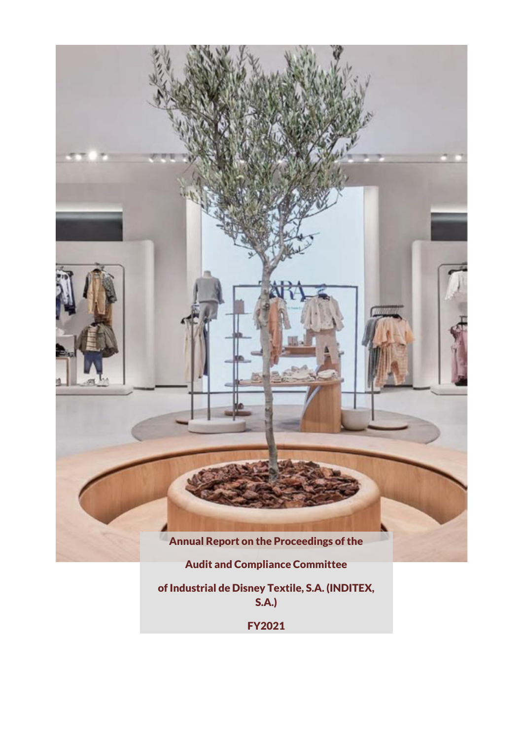

of Industrial de Disney Textile, S.A. (INDITEX, S.A.)

FY2021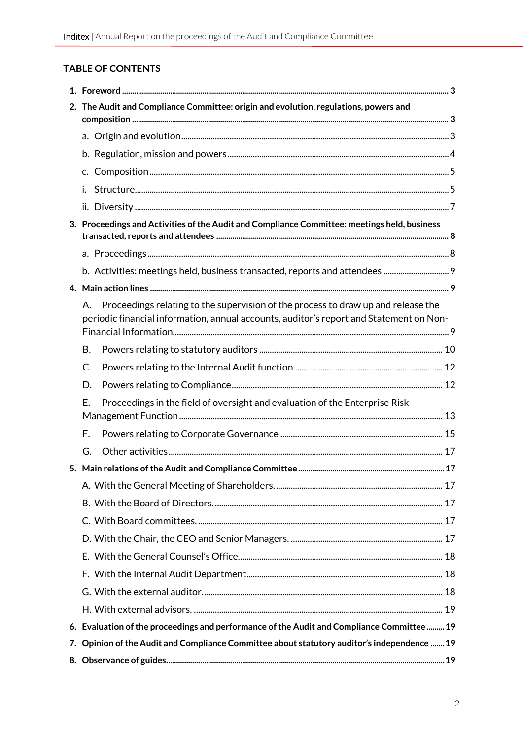# **TABLE OF CONTENTS**

|                                                                                              | 2. The Audit and Compliance Committee: origin and evolution, regulations, powers and                                                                                               |  |  |
|----------------------------------------------------------------------------------------------|------------------------------------------------------------------------------------------------------------------------------------------------------------------------------------|--|--|
|                                                                                              |                                                                                                                                                                                    |  |  |
|                                                                                              |                                                                                                                                                                                    |  |  |
|                                                                                              | $C_{\star}$                                                                                                                                                                        |  |  |
|                                                                                              | i.                                                                                                                                                                                 |  |  |
|                                                                                              |                                                                                                                                                                                    |  |  |
| 3. Proceedings and Activities of the Audit and Compliance Committee: meetings held, business |                                                                                                                                                                                    |  |  |
|                                                                                              |                                                                                                                                                                                    |  |  |
|                                                                                              |                                                                                                                                                                                    |  |  |
|                                                                                              |                                                                                                                                                                                    |  |  |
|                                                                                              | Proceedings relating to the supervision of the process to draw up and release the<br>Α.<br>periodic financial information, annual accounts, auditor's report and Statement on Non- |  |  |
|                                                                                              | <b>B.</b>                                                                                                                                                                          |  |  |
|                                                                                              | $\mathsf{C}$                                                                                                                                                                       |  |  |
|                                                                                              | D.                                                                                                                                                                                 |  |  |
|                                                                                              | Proceedings in the field of oversight and evaluation of the Enterprise Risk<br>Е.                                                                                                  |  |  |
|                                                                                              | F.                                                                                                                                                                                 |  |  |
|                                                                                              | G.                                                                                                                                                                                 |  |  |
|                                                                                              |                                                                                                                                                                                    |  |  |
|                                                                                              |                                                                                                                                                                                    |  |  |
|                                                                                              |                                                                                                                                                                                    |  |  |
|                                                                                              |                                                                                                                                                                                    |  |  |
|                                                                                              |                                                                                                                                                                                    |  |  |
|                                                                                              |                                                                                                                                                                                    |  |  |
|                                                                                              |                                                                                                                                                                                    |  |  |
|                                                                                              |                                                                                                                                                                                    |  |  |
|                                                                                              |                                                                                                                                                                                    |  |  |
|                                                                                              | 6. Evaluation of the proceedings and performance of the Audit and Compliance Committee  19                                                                                         |  |  |
|                                                                                              | 7. Opinion of the Audit and Compliance Committee about statutory auditor's independence  19                                                                                        |  |  |
|                                                                                              |                                                                                                                                                                                    |  |  |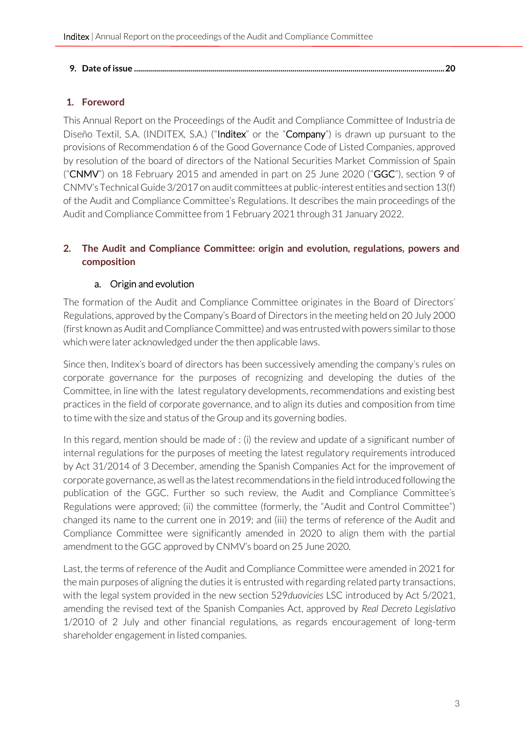#### **9. Date of issue [...........................................................................................................................................................20](#page-19-0)**

#### <span id="page-2-0"></span>**1. Foreword**

This Annual Report on the Proceedings of the Audit and Compliance Committee of Industria de Diseño Textil, S.A. (INDITEX, S.A.) ("Inditex" or the "Company") is drawn up pursuant to the provisions of Recommendation 6 of the Good Governance Code of Listed Companies, approved by resolution of the board of directors of the National Securities Market Commission of Spain ("CNMV") on 18 February 2015 and amended in part on 25 June 2020 ("GGC"), section 9 of CNMV's Technical Guide 3/2017 on audit committees at public-interest entities and section 13(f) of the Audit and Compliance Committee's Regulations. It describes the main proceedings of the Audit and Compliance Committee from 1 February 2021 through 31 January 2022.

#### <span id="page-2-1"></span>**2. The Audit and Compliance Committee: origin and evolution, regulations, powers and composition**

#### a. Origin and evolution

<span id="page-2-2"></span>The formation of the Audit and Compliance Committee originates in the Board of Directors' Regulations, approved by the Company's Board of Directors in the meeting held on 20 July 2000 (first known as Audit and Compliance Committee) and was entrusted with powers similar to those which were later acknowledged under the then applicable laws.

Since then, Inditex's board of directors has been successively amending the company's rules on corporate governance for the purposes of recognizing and developing the duties of the Committee, in line with the latest regulatory developments, recommendations and existing best practices in the field of corporate governance, and to align its duties and composition from time to time with the size and status of the Group and its governing bodies.

In this regard, mention should be made of : (i) the review and update of a significant number of internal regulations for the purposes of meeting the latest regulatory requirements introduced by Act 31/2014 of 3 December, amending the Spanish Companies Act for the improvement of corporate governance, as well as the latest recommendations in the field introduced following the publication of the GGC. Further so such review, the Audit and Compliance Committee's Regulations were approved; (ii) the committee (formerly, the "Audit and Control Committee") changed its name to the current one in 2019; and (iii) the terms of reference of the Audit and Compliance Committee were significantly amended in 2020 to align them with the partial amendment to the GGC approved by CNMV's board on 25 June 2020.

Last, the terms of reference of the Audit and Compliance Committee were amended in 2021 for the main purposes of aligning the duties it is entrusted with regarding related party transactions, with the legal system provided in the new section 529*duovicies* LSC introduced by Act 5/2021, amending the revised text of the Spanish Companies Act, approved by *Real Decreto Legislativo* 1/2010 of 2 July and other financial regulations, as regards encouragement of long-term shareholder engagement in listed companies.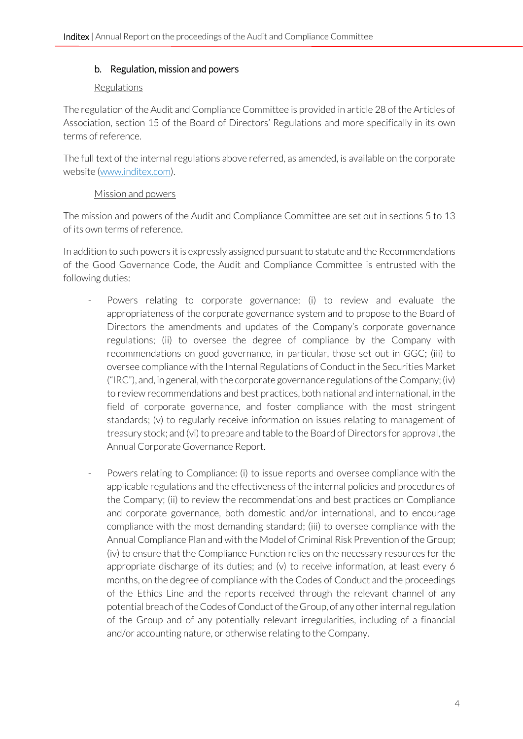#### <span id="page-3-0"></span>b. Regulation, mission and powers

#### Regulations

The regulation of the Audit and Compliance Committee is provided in article 28 of the Articles of Association, section 15 of the Board of Directors' Regulations and more specifically in its own terms of reference.

The full text of the internal regulations above referred, as amended, is available on the corporate website [\(www.inditex.com\)](http://www.inditex.com/).

#### Mission and powers

The mission and powers of the Audit and Compliance Committee are set out in sections 5 to 13 of its own terms of reference.

In addition to such powers it is expressly assigned pursuant to statute and the Recommendations of the Good Governance Code, the Audit and Compliance Committee is entrusted with the following duties:

- Powers relating to corporate governance: (i) to review and evaluate the appropriateness of the corporate governance system and to propose to the Board of Directors the amendments and updates of the Company's corporate governance regulations; (ii) to oversee the degree of compliance by the Company with recommendations on good governance, in particular, those set out in GGC; (iii) to oversee compliance with the Internal Regulations of Conduct in the Securities Market ("IRC"), and, in general, with the corporate governance regulations of the Company; (iv) to review recommendations and best practices, both national and international, in the field of corporate governance, and foster compliance with the most stringent standards; (v) to regularly receive information on issues relating to management of treasury stock; and (vi) to prepare and table to the Board of Directors for approval, the Annual Corporate Governance Report.
- Powers relating to Compliance: (i) to issue reports and oversee compliance with the applicable regulations and the effectiveness of the internal policies and procedures of the Company; (ii) to review the recommendations and best practices on Compliance and corporate governance, both domestic and/or international, and to encourage compliance with the most demanding standard; (iii) to oversee compliance with the Annual Compliance Plan and with the Model of Criminal Risk Prevention of the Group; (iv) to ensure that the Compliance Function relies on the necessary resources for the appropriate discharge of its duties; and (v) to receive information, at least every 6 months, on the degree of compliance with the Codes of Conduct and the proceedings of the Ethics Line and the reports received through the relevant channel of any potential breach of the Codes of Conduct of the Group, of any other internal regulation of the Group and of any potentially relevant irregularities, including of a financial and/or accounting nature, or otherwise relating to the Company.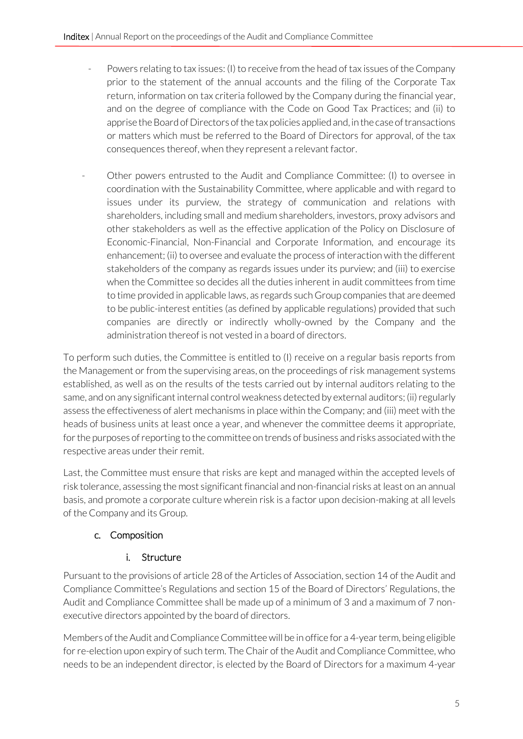- Powers relating to tax issues: (I) to receive from the head of tax issues of the Company prior to the statement of the annual accounts and the filing of the Corporate Tax return, information on tax criteria followed by the Company during the financial year, and on the degree of compliance with the Code on Good Tax Practices; and (ii) to apprise the Board of Directors of the tax policies applied and, in the case of transactions or matters which must be referred to the Board of Directors for approval, of the tax consequences thereof, when they represent a relevant factor.
- Other powers entrusted to the Audit and Compliance Committee: (I) to oversee in coordination with the Sustainability Committee, where applicable and with regard to issues under its purview, the strategy of communication and relations with shareholders, including small and medium shareholders, investors, proxy advisors and other stakeholders as well as the effective application of the Policy on Disclosure of Economic-Financial, Non-Financial and Corporate Information, and encourage its enhancement; (ii) to oversee and evaluate the process of interaction with the different stakeholders of the company as regards issues under its purview; and (iii) to exercise when the Committee so decides all the duties inherent in audit committees from time to time provided in applicable laws, as regards such Group companies that are deemed to be public-interest entities (as defined by applicable regulations) provided that such companies are directly or indirectly wholly-owned by the Company and the administration thereof is not vested in a board of directors.

To perform such duties, the Committee is entitled to (I) receive on a regular basis reports from the Management or from the supervising areas, on the proceedings of risk management systems established, as well as on the results of the tests carried out by internal auditors relating to the same, and on any significant internal control weakness detected by external auditors; (ii) regularly assess the effectiveness of alert mechanisms in place within the Company; and (iii) meet with the heads of business units at least once a year, and whenever the committee deems it appropriate, for the purposes of reporting to the committee on trends of business and risks associated with the respective areas under their remit.

Last, the Committee must ensure that risks are kept and managed within the accepted levels of risk tolerance, assessing the most significant financial and non-financial risks at least on an annual basis, and promote a corporate culture wherein risk is a factor upon decision-making at all levels of the Company and its Group.

# <span id="page-4-0"></span>c. Composition

## <span id="page-4-1"></span>i. Structure

Pursuant to the provisions of article 28 of the Articles of Association, section 14 of the Audit and Compliance Committee's Regulations and section 15 of the Board of Directors' Regulations, the Audit and Compliance Committee shall be made up of a minimum of 3 and a maximum of 7 nonexecutive directors appointed by the board of directors.

Members of the Audit and Compliance Committee will be in office for a 4-year term, being eligible for re-election upon expiry of such term. The Chair of the Audit and Compliance Committee, who needs to be an independent director, is elected by the Board of Directors for a maximum 4-year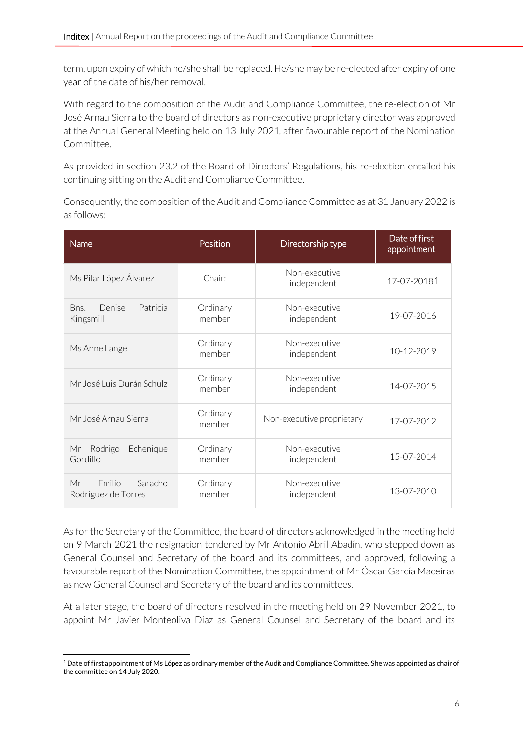term, upon expiry of which he/she shall be replaced. He/she may be re-elected after expiry of one year of the date of his/her removal.

With regard to the composition of the Audit and Compliance Committee, the re-election of Mr José Arnau Sierra to the board of directors as non-executive proprietary director was approved at the Annual General Meeting held on 13 July 2021, after favourable report of the Nomination Committee.

As provided in section 23.2 of the Board of Directors' Regulations, his re-election entailed his continuing sitting on the Audit and Compliance Committee.

Consequently, the composition of the Audit and Compliance Committee as at 31 January 2022 is as follows:

| Name                                                  | Position           | Directorship type            | Date of first<br>appointment |
|-------------------------------------------------------|--------------------|------------------------------|------------------------------|
| Ms Pilar López Álvarez                                | Chair:             | Non-executive<br>independent | 17-07-20181                  |
| Bns.<br>Denise<br>Patricia<br>Kingsmill               | Ordinary<br>member | Non-executive<br>independent | 19-07-2016                   |
| Ms Anne Lange                                         | Ordinary<br>member | Non-executive<br>independent | 10-12-2019                   |
| Mr José Luis Durán Schulz                             | Ordinary<br>member | Non-executive<br>independent | 14-07-2015                   |
| Mr. José Arnau Sierra                                 | Ordinary<br>member | Non-executive proprietary    | 17-07-2012                   |
| Rodrigo<br>Echenique<br>Mr<br>Gordillo                | Ordinary<br>member | Non-executive<br>independent | 15-07-2014                   |
| <b>Emilio</b><br>Saracho<br>Mr<br>Rodríguez de Torres | Ordinary<br>member | Non-executive<br>independent | 13-07-2010                   |

As for the Secretary of the Committee, the board of directors acknowledged in the meeting held on 9 March 2021 the resignation tendered by Mr Antonio Abril Abadín, who stepped down as General Counsel and Secretary of the board and its committees, and approved, following a favourable report of the Nomination Committee, the appointment of Mr Óscar García Maceiras as new General Counsel and Secretary of the board and its committees.

At a later stage, the board of directors resolved in the meeting held on 29 November 2021, to appoint Mr Javier Monteoliva Díaz as General Counsel and Secretary of the board and its

 $1$  Date of first appointment of Ms López as ordinary member of the Audit and Compliance Committee. She was appointed as chair of the committee on 14 July 2020.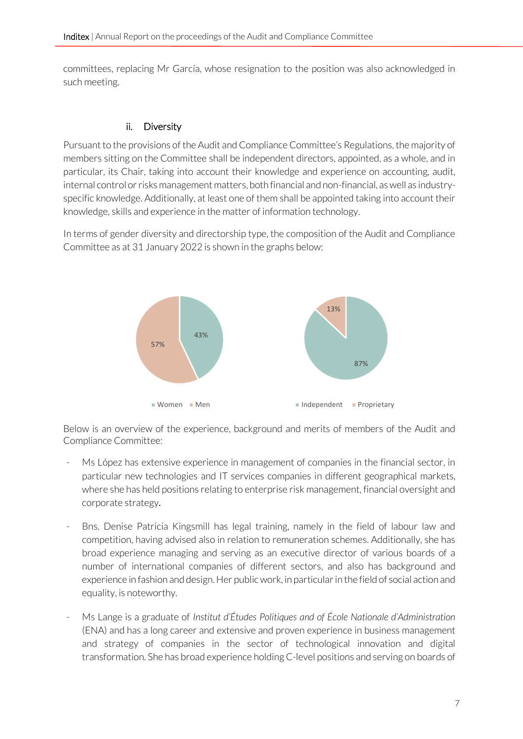committees, replacing Mr García, whose resignation to the position was also acknowledged in such meeting.

#### <span id="page-6-0"></span>ii. Diversity

Pursuant to the provisions of the Audit and Compliance Committee's Regulations, the majority of members sitting on the Committee shall be independent directors, appointed, as a whole, and in particular, its Chair, taking into account their knowledge and experience on accounting, audit, internal control or risks management matters, both financial and non-financial, as well as industryspecific knowledge. Additionally, at least one of them shall be appointed taking into account their knowledge, skills and experience in the matter of information technology.

In terms of gender diversity and directorship type, the composition of the Audit and Compliance Committee as at 31 January 2022 is shown in the graphs below:



Below is an overview of the experience, background and merits of members of the Audit and Compliance Committee:

- Ms López has extensive experience in management of companies in the financial sector, in particular new technologies and IT services companies in different geographical markets, where she has held positions relating to enterprise risk management, financial oversight and corporate strategy.
- Bns. Denise Patricia Kingsmill has legal training, namely in the field of labour law and competition, having advised also in relation to remuneration schemes. Additionally, she has broad experience managing and serving as an executive director of various boards of a number of international companies of different sectors, and also has background and experience in fashion and design. Her public work, in particular in the field of social action and equality, is noteworthy.
- Ms Lange is a graduate of *Institut d'Études Politiques and of École Nationale d'Administration* (ENA) and has a long career and extensive and proven experience in business management and strategy of companies in the sector of technological innovation and digital transformation. She has broad experience holding C-level positions and serving on boards of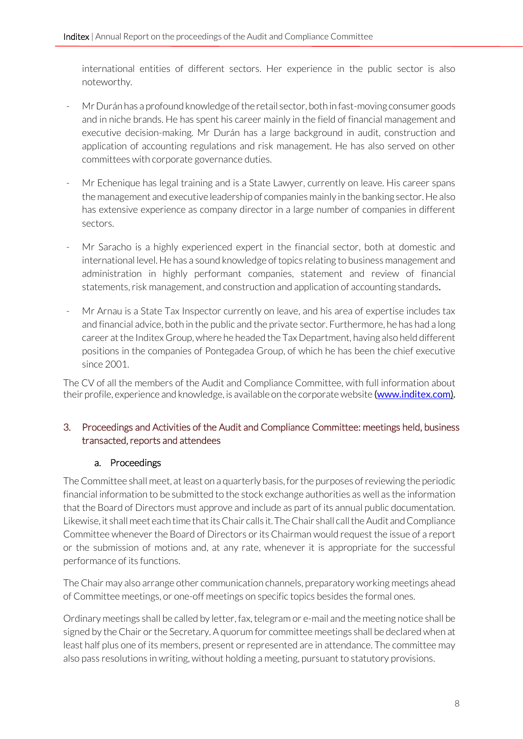international entities of different sectors. Her experience in the public sector is also noteworthy.

- Mr Durán has a profound knowledge of the retail sector, both in fast-moving consumer goods and in niche brands. He has spent his career mainly in the field of financial management and executive decision-making. Mr Durán has a large background in audit, construction and application of accounting regulations and risk management. He has also served on other committees with corporate governance duties.
- Mr Echenique has legal training and is a State Lawyer, currently on leave. His career spans the management and executive leadership of companies mainly in the banking sector. He also has extensive experience as company director in a large number of companies in different sectors.
- Mr Saracho is a highly experienced expert in the financial sector, both at domestic and international level. He has a sound knowledge of topics relating to business management and administration in highly performant companies, statement and review of financial statements, risk management, and construction and application of accounting standards.
- Mr Arnau is a State Tax Inspector currently on leave, and his area of expertise includes tax and financial advice, both in the public and the private sector. Furthermore, he has had a long career at the Inditex Group, where he headed the Tax Department, having also held different positions in the companies of Pontegadea Group, of which he has been the chief executive since 2001.

The CV of all the members of the Audit and Compliance Committee, with full information about their profile, experience and knowledge, is available on the corporate website [\(www.inditex.com\)](http://www.inditex.com/).

## <span id="page-7-0"></span>3. Proceedings and Activities of the Audit and Compliance Committee: meetings held, business transacted, reports and attendees

## a. Proceedings

<span id="page-7-1"></span>The Committee shall meet, at least on a quarterly basis, for the purposes of reviewing the periodic financial information to be submitted to the stock exchange authorities as well as the information that the Board of Directors must approve and include as part of its annual public documentation. Likewise, it shall meet each time that its Chair calls it. The Chair shall call the Audit and Compliance Committee whenever the Board of Directors or its Chairman would request the issue of a report or the submission of motions and, at any rate, whenever it is appropriate for the successful performance of its functions.

The Chair may also arrange other communication channels, preparatory working meetings ahead of Committee meetings, or one-off meetings on specific topics besides the formal ones.

Ordinary meetings shall be called by letter, fax, telegram or e-mail and the meeting notice shall be signed by the Chair or the Secretary. A quorum for committee meetings shall be declared when at least half plus one of its members, present or represented are in attendance. The committee may also pass resolutions in writing, without holding a meeting, pursuant to statutory provisions.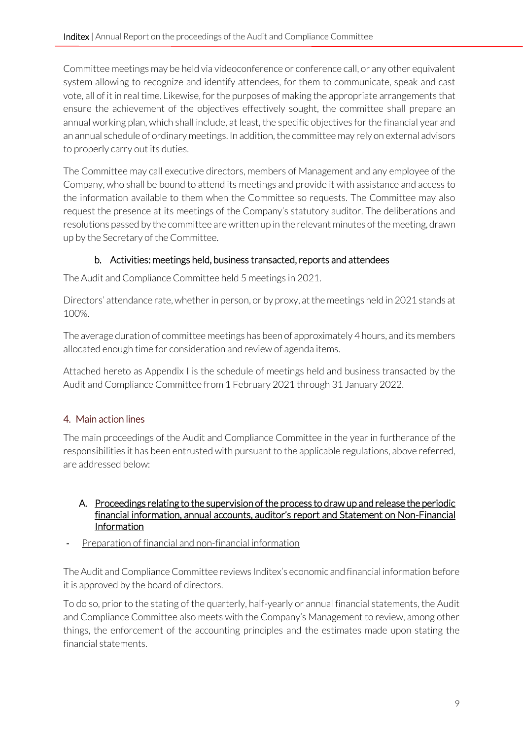Committee meetings may be held via videoconference or conference call, or any other equivalent system allowing to recognize and identify attendees, for them to communicate, speak and cast vote, all of it in real time. Likewise, for the purposes of making the appropriate arrangements that ensure the achievement of the objectives effectively sought, the committee shall prepare an annual working plan, which shall include, at least, the specific objectives for the financial year and an annual schedule of ordinary meetings. In addition, the committee may rely on external advisors to properly carry out its duties.

The Committee may call executive directors, members of Management and any employee of the Company, who shall be bound to attend its meetings and provide it with assistance and access to the information available to them when the Committee so requests. The Committee may also request the presence at its meetings of the Company's statutory auditor. The deliberations and resolutions passed by the committee are written up in the relevant minutes of the meeting, drawn up by the Secretary of the Committee.

## b. Activities: meetings held, business transacted, reports and attendees

<span id="page-8-0"></span>The Audit and Compliance Committee held 5 meetings in 2021.

Directors' attendance rate, whether in person, or by proxy, at the meetings held in 2021 stands at 100%.

The average duration of committee meetings has been of approximately 4 hours, and its members allocated enough time for consideration and review of agenda items.

Attached hereto as Appendix I is the schedule of meetings held and business transacted by the Audit and Compliance Committee from 1 February 2021 through 31 January 2022.

# <span id="page-8-1"></span>4. Main action lines

The main proceedings of the Audit and Compliance Committee in the year in furtherance of the responsibilities it has been entrusted with pursuant to the applicable regulations, above referred, are addressed below:

#### <span id="page-8-2"></span>A. Proceedings relating to the supervision of the process to draw up and release the periodic financial information, annual accounts, auditor's report and Statement on Non-Financial Information

Preparation of financial and non-financial information

The Audit and Compliance Committee reviews Inditex's economic and financial information before it is approved by the board of directors.

To do so, prior to the stating of the quarterly, half-yearly or annual financial statements, the Audit and Compliance Committee also meets with the Company's Management to review, among other things, the enforcement of the accounting principles and the estimates made upon stating the financial statements.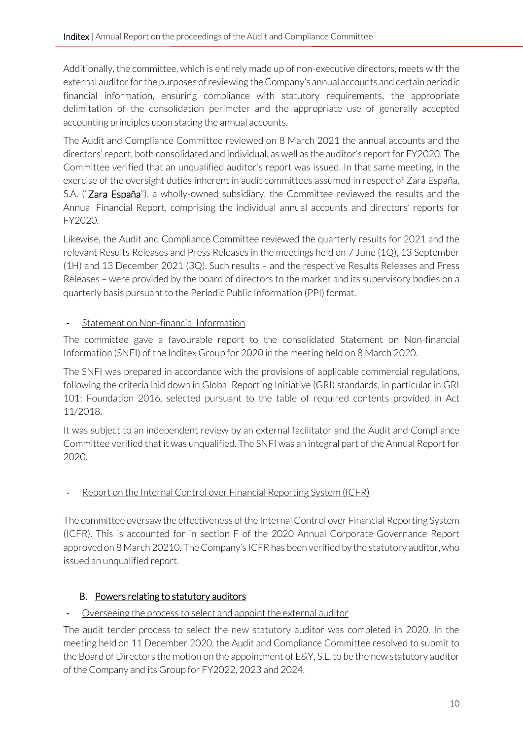Additionally, the committee, which is entirely made up of non-executive directors, meets with the external auditor for the purposes of reviewing the Company's annual accounts and certain periodic financial information, ensuring compliance with statutory requirements, the appropriate delimitation of the consolidation perimeter and the appropriate use of generally accepted accounting principles upon stating the annual accounts.

The Audit and Compliance Committee reviewed on 8 March 2021 the annual accounts and the directors' report, both consolidated and individual, as well as the auditor's report for FY2020. The Committee verified that an unqualified auditor's report was issued. In that same meeting, in the exercise of the oversight duties inherent in audit committees assumed in respect of Zara España, S.A. ("Zara España"), a wholly-owned subsidiary, the Committee reviewed the results and the Annual Financial Report, comprising the individual annual accounts and directors' reports for FY2020.

Likewise, the Audit and Compliance Committee reviewed the quarterly results for 2021 and the relevant Results Releases and Press Releases in the meetings held on 7 June (1Q), 13 September (1H) and 13 December 2021 (3Q). Such results – and the respective Results Releases and Press Releases – were provided by the board of directors to the market and its supervisory bodies on a quarterly basis pursuant to the Periodic Public Information (PPI) format.

## Statement on Non-financial Information

The committee gave a favourable report to the consolidated Statement on Non-financial Information (SNFI) of the Inditex Group for 2020 in the meeting held on 8 March 2020.

The SNFI was prepared in accordance with the provisions of applicable commercial regulations, following the criteria laid down in Global Reporting Initiative (GRI) standards, in particular in GRI 101: Foundation 2016, selected pursuant to the table of required contents provided in Act 11/2018.

It was subject to an independent review by an external facilitator and the Audit and Compliance Committee verified that it was unqualified. The SNFI was an integral part of the Annual Report for 2020.

## Report on the Internal Control over Financial Reporting System (ICFR)

The committee oversaw the effectiveness of the Internal Control over Financial Reporting System (ICFR). This is accounted for in section F of the 2020 Annual Corporate Governance Report approved on 8 March 20210. The Company's ICFR has been verified by the statutory auditor, who issued an unqualified report.

## <span id="page-9-0"></span>B. Powers relating to statutory auditors

#### Overseeing the process to select and appoint the external auditor

The audit tender process to select the new statutory auditor was completed in 2020. In the meeting held on 11 December 2020, the Audit and Compliance Committee resolved to submit to the Board of Directors the motion on the appointment of E&Y, S.L. to be the new statutory auditor of the Company and its Group for FY2022, 2023 and 2024.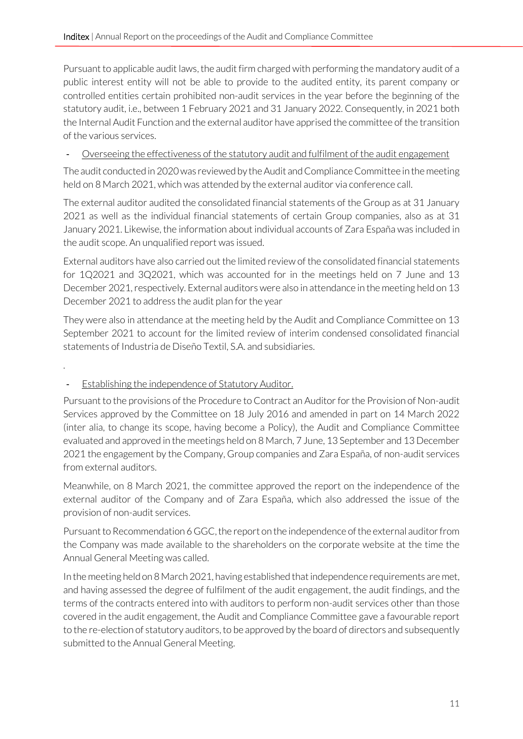Pursuant to applicable audit laws, the audit firm charged with performing the mandatory audit of a public interest entity will not be able to provide to the audited entity, its parent company or controlled entities certain prohibited non-audit services in the year before the beginning of the statutory audit, i.e., between 1 February 2021 and 31 January 2022. Consequently, in 2021 both the Internal Audit Function and the external auditor have apprised the committee of the transition of the various services.

- Overseeing the effectiveness of the statutory audit and fulfilment of the audit engagement

The audit conducted in 2020 was reviewed by the Audit and Compliance Committee in the meeting held on 8 March 2021, which was attended by the external auditor via conference call.

The external auditor audited the consolidated financial statements of the Group as at 31 January 2021 as well as the individual financial statements of certain Group companies, also as at 31 January 2021. Likewise, the information about individual accounts of Zara España was included in the audit scope. An unqualified report was issued.

External auditors have also carried out the limited review of the consolidated financial statements for 1Q2021 and 3Q2021, which was accounted for in the meetings held on 7 June and 13 December 2021, respectively. External auditors were also in attendance in the meeting held on 13 December 2021 to address the audit plan for the year

They were also in attendance at the meeting held by the Audit and Compliance Committee on 13 September 2021 to account for the limited review of interim condensed consolidated financial statements of Industria de Diseño Textil, S.A. and subsidiaries.

.

## - Establishing the independence of Statutory Auditor.

Pursuant to the provisions of the Procedure to Contract an Auditor for the Provision of Non-audit Services approved by the Committee on 18 July 2016 and amended in part on 14 March 2022 (inter alia, to change its scope, having become a Policy), the Audit and Compliance Committee evaluated and approved in the meetings held on 8 March, 7 June, 13 September and 13 December 2021 the engagement by the Company, Group companies and Zara España, of non-audit services from external auditors.

Meanwhile, on 8 March 2021, the committee approved the report on the independence of the external auditor of the Company and of Zara España, which also addressed the issue of the provision of non-audit services.

Pursuant to Recommendation 6 GGC, the report on the independence of the external auditor from the Company was made available to the shareholders on the corporate website at the time the Annual General Meeting was called.

In the meeting held on 8 March 2021, having established that independence requirements are met, and having assessed the degree of fulfilment of the audit engagement, the audit findings, and the terms of the contracts entered into with auditors to perform non-audit services other than those covered in the audit engagement, the Audit and Compliance Committee gave a favourable report to the re-election of statutory auditors, to be approved by the board of directors and subsequently submitted to the Annual General Meeting.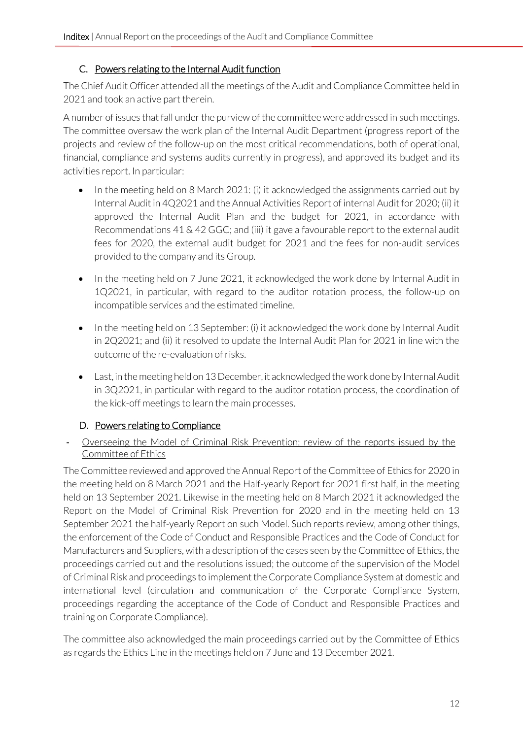#### C. Powers relating to the Internal Audit function

<span id="page-11-0"></span>The Chief Audit Officer attended all the meetings of the Audit and Compliance Committee held in 2021 and took an active part therein.

A number of issues that fall under the purview of the committee were addressed in such meetings. The committee oversaw the work plan of the Internal Audit Department (progress report of the projects and review of the follow-up on the most critical recommendations, both of operational, financial, compliance and systems audits currently in progress), and approved its budget and its activities report. In particular:

- In the meeting held on 8 March 2021: (i) it acknowledged the assignments carried out by Internal Audit in 4Q2021 and the Annual Activities Report of internal Audit for 2020; (ii) it approved the Internal Audit Plan and the budget for 2021, in accordance with Recommendations 41 & 42 GGC; and (iii) it gave a favourable report to the external audit fees for 2020, the external audit budget for 2021 and the fees for non-audit services provided to the company and its Group.
- In the meeting held on 7 June 2021, it acknowledged the work done by Internal Audit in 1Q2021, in particular, with regard to the auditor rotation process, the follow-up on incompatible services and the estimated timeline.
- In the meeting held on 13 September: (i) it acknowledged the work done by Internal Audit in 2Q2021; and (ii) it resolved to update the Internal Audit Plan for 2021 in line with the outcome of the re-evaluation of risks.
- Last, in the meeting held on 13 December, it acknowledged the work done by Internal Audit in 3Q2021, in particular with regard to the auditor rotation process, the coordination of the kick-off meetings to learn the main processes.

## D. Powers relating to Compliance

<span id="page-11-1"></span>- Overseeing the Model of Criminal Risk Prevention: review of the reports issued by the Committee of Ethics

The Committee reviewed and approved the Annual Report of the Committee of Ethics for 2020 in the meeting held on 8 March 2021 and the Half-yearly Report for 2021 first half, in the meeting held on 13 September 2021. Likewise in the meeting held on 8 March 2021 it acknowledged the Report on the Model of Criminal Risk Prevention for 2020 and in the meeting held on 13 September 2021 the half-yearly Report on such Model. Such reports review, among other things, the enforcement of the Code of Conduct and Responsible Practices and the Code of Conduct for Manufacturers and Suppliers, with a description of the cases seen by the Committee of Ethics, the proceedings carried out and the resolutions issued; the outcome of the supervision of the Model of Criminal Risk and proceedings to implement the Corporate Compliance System at domestic and international level (circulation and communication of the Corporate Compliance System, proceedings regarding the acceptance of the Code of Conduct and Responsible Practices and training on Corporate Compliance).

The committee also acknowledged the main proceedings carried out by the Committee of Ethics as regards the Ethics Line in the meetings held on 7 June and 13 December 2021.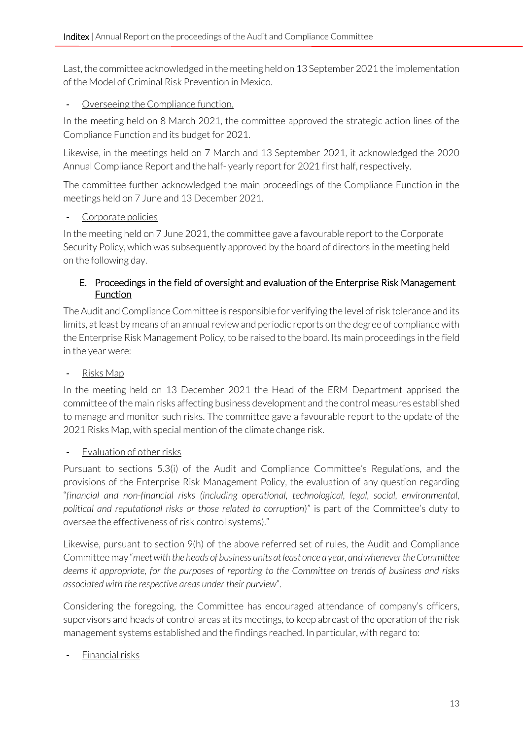Last, the committee acknowledged in the meeting held on 13 September 2021 the implementation of the Model of Criminal Risk Prevention in Mexico.

#### - Overseeing the Compliance function.

In the meeting held on 8 March 2021, the committee approved the strategic action lines of the Compliance Function and its budget for 2021.

Likewise, in the meetings held on 7 March and 13 September 2021, it acknowledged the 2020 Annual Compliance Report and the half- yearly report for 2021 first half, respectively.

The committee further acknowledged the main proceedings of the Compliance Function in the meetings held on 7 June and 13 December 2021.

## Corporate policies

In the meeting held on 7 June 2021, the committee gave a favourable report to the Corporate Security Policy, which was subsequently approved by the board of directors in the meeting held on the following day.

#### <span id="page-12-0"></span>E. Proceedings in the field of oversight and evaluation of the Enterprise Risk Management Function

The Audit and Compliance Committee is responsible for verifying the level of risk tolerance and its limits, at least by means of an annual review and periodic reports on the degree of compliance with the Enterprise Risk Management Policy, to be raised to the board. Its main proceedings in the field in the year were:

#### Risks Map

In the meeting held on 13 December 2021 the Head of the ERM Department apprised the committee of the main risks affecting business development and the control measures established to manage and monitor such risks. The committee gave a favourable report to the update of the 2021 Risks Map, with special mention of the climate change risk.

## Evaluation of other risks

Pursuant to sections 5.3(i) of the Audit and Compliance Committee's Regulations, and the provisions of the Enterprise Risk Management Policy, the evaluation of any question regarding "*financial and non-financial risks (including operational, technological, legal, social, environmental, political and reputational risks or those related to corruption*)" is part of the Committee's duty to oversee the effectiveness of risk control systems)."

Likewise, pursuant to section 9(h) of the above referred set of rules, the Audit and Compliance Committee may "*meet with the heads of business units at least once a year, and whenever the Committee deems it appropriate, for the purposes of reporting to the Committee on trends of business and risks associated with the respective areas under their purview*".

Considering the foregoing, the Committee has encouraged attendance of company's officers, supervisors and heads of control areas at its meetings, to keep abreast of the operation of the risk management systems established and the findings reached. In particular, with regard to:

## Financial risks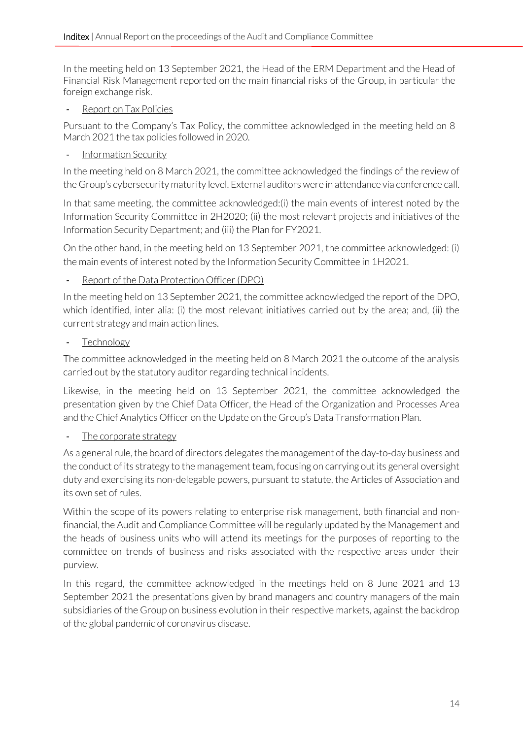In the meeting held on 13 September 2021, the Head of the ERM Department and the Head of Financial Risk Management reported on the main financial risks of the Group, in particular the foreign exchange risk.

Report on Tax Policies

Pursuant to the Company's Tax Policy, the committee acknowledged in the meeting held on 8 March 2021 the tax policies followed in 2020.

- Information Security

In the meeting held on 8 March 2021, the committee acknowledged the findings of the review of the Group's cybersecurity maturity level. External auditors were in attendance via conference call.

In that same meeting, the committee acknowledged:(i) the main events of interest noted by the Information Security Committee in 2H2020; (ii) the most relevant projects and initiatives of the Information Security Department; and (iii) the Plan for FY2021.

On the other hand, in the meeting held on 13 September 2021, the committee acknowledged: (i) the main events of interest noted by the Information Security Committee in 1H2021.

#### Report of the Data Protection Officer (DPO)

In the meeting held on 13 September 2021, the committee acknowledged the report of the DPO, which identified, inter alia: (i) the most relevant initiatives carried out by the area; and, (ii) the current strategy and main action lines.

**Technology** 

The committee acknowledged in the meeting held on 8 March 2021 the outcome of the analysis carried out by the statutory auditor regarding technical incidents.

Likewise, in the meeting held on 13 September 2021, the committee acknowledged the presentation given by the Chief Data Officer, the Head of the Organization and Processes Area and the Chief Analytics Officer on the Update on the Group's Data Transformation Plan.

## The corporate strategy

As a general rule, the board of directors delegates the management of the day-to-day business and the conduct of its strategy to the management team, focusing on carrying out its general oversight duty and exercising its non-delegable powers, pursuant to statute, the Articles of Association and its own set of rules.

Within the scope of its powers relating to enterprise risk management, both financial and nonfinancial, the Audit and Compliance Committee will be regularly updated by the Management and the heads of business units who will attend its meetings for the purposes of reporting to the committee on trends of business and risks associated with the respective areas under their purview.

In this regard, the committee acknowledged in the meetings held on 8 June 2021 and 13 September 2021 the presentations given by brand managers and country managers of the main subsidiaries of the Group on business evolution in their respective markets, against the backdrop of the global pandemic of coronavirus disease.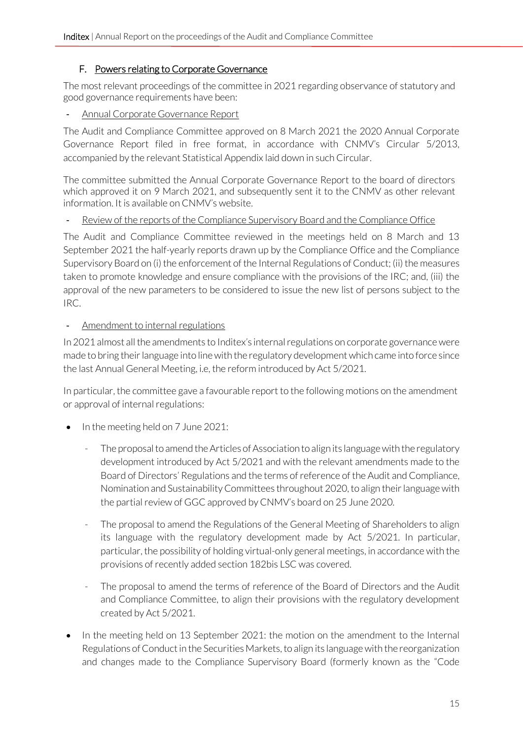#### F. Powers relating to Corporate Governance

<span id="page-14-0"></span>The most relevant proceedings of the committee in 2021 regarding observance of statutory and good governance requirements have been:

#### - Annual Corporate Governance Report

The Audit and Compliance Committee approved on 8 March 2021 the 2020 Annual Corporate Governance Report filed in free format, in accordance with CNMV's Circular 5/2013, accompanied by the relevant Statistical Appendix laid down in such Circular.

The committee submitted the Annual Corporate Governance Report to the board of directors which approved it on 9 March 2021, and subsequently sent it to the CNMV as other relevant information. It is available on CNMV's website.

#### Review of the reports of the Compliance Supervisory Board and the Compliance Office

The Audit and Compliance Committee reviewed in the meetings held on 8 March and 13 September 2021 the half-yearly reports drawn up by the Compliance Office and the Compliance Supervisory Board on (i) the enforcement of the Internal Regulations of Conduct; (ii) the measures taken to promote knowledge and ensure compliance with the provisions of the IRC; and, (iii) the approval of the new parameters to be considered to issue the new list of persons subject to the IRC.

#### - Amendment to internal regulations

In 2021 almost all the amendments to Inditex's internal regulations on corporate governance were made to bring their language into line with the regulatory development which came into force since the last Annual General Meeting, i.e, the reform introduced by Act 5/2021.

In particular, the committee gave a favourable report to the following motions on the amendment or approval of internal regulations:

- In the meeting held on 7 June 2021:
	- The proposal to amend the Articles of Association to align its language with the regulatory development introduced by Act 5/2021 and with the relevant amendments made to the Board of Directors' Regulations and the terms of reference of the Audit and Compliance, Nomination and Sustainability Committees throughout 2020, to align their language with the partial review of GGC approved by CNMV's board on 25 June 2020.
	- The proposal to amend the Regulations of the General Meeting of Shareholders to align its language with the regulatory development made by Act 5/2021. In particular, particular, the possibility of holding virtual-only general meetings, in accordance with the provisions of recently added section 182bis LSC was covered.
	- The proposal to amend the terms of reference of the Board of Directors and the Audit and Compliance Committee, to align their provisions with the regulatory development created by Act 5/2021.
- In the meeting held on 13 September 2021: the motion on the amendment to the Internal Regulations of Conduct in the Securities Markets, to align its language with the reorganization and changes made to the Compliance Supervisory Board (formerly known as the "Code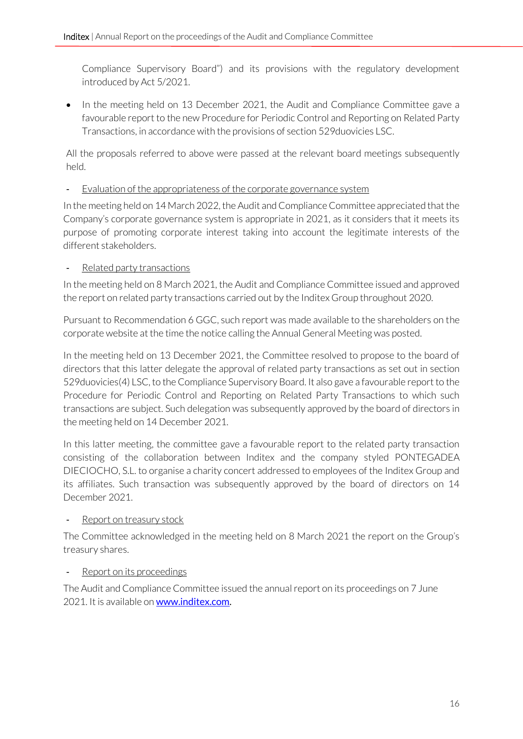Compliance Supervisory Board") and its provisions with the regulatory development introduced by Act 5/2021.

• In the meeting held on 13 December 2021, the Audit and Compliance Committee gave a favourable report to the new Procedure for Periodic Control and Reporting on Related Party Transactions, in accordance with the provisions of section 529duovicies LSC.

All the proposals referred to above were passed at the relevant board meetings subsequently held.

- Evaluation of the appropriateness of the corporate governance system

In the meeting held on 14 March 2022, the Audit and Compliance Committee appreciated that the Company's corporate governance system is appropriate in 2021, as it considers that it meets its purpose of promoting corporate interest taking into account the legitimate interests of the different stakeholders.

#### Related party transactions

In the meeting held on 8 March 2021, the Audit and Compliance Committee issued and approved the report on related party transactions carried out by the Inditex Group throughout 2020.

Pursuant to Recommendation 6 GGC, such report was made available to the shareholders on the corporate website at the time the notice calling the Annual General Meeting was posted.

In the meeting held on 13 December 2021, the Committee resolved to propose to the board of directors that this latter delegate the approval of related party transactions as set out in section 529duovicies(4) LSC, to the Compliance Supervisory Board. It also gave a favourable report to the Procedure for Periodic Control and Reporting on Related Party Transactions to which such transactions are subject. Such delegation was subsequently approved by the board of directors in the meeting held on 14 December 2021.

In this latter meeting, the committee gave a favourable report to the related party transaction consisting of the collaboration between Inditex and the company styled PONTEGADEA DIECIOCHO, S.L. to organise a charity concert addressed to employees of the Inditex Group and its affiliates. Such transaction was subsequently approved by the board of directors on 14 December 2021.

#### Report on treasury stock

The Committee acknowledged in the meeting held on 8 March 2021 the report on the Group's treasury shares.

#### Report on its proceedings

The Audit and Compliance Committee issued the annual report on its proceedings on 7 June 2021. It is available on **www.inditex.com**.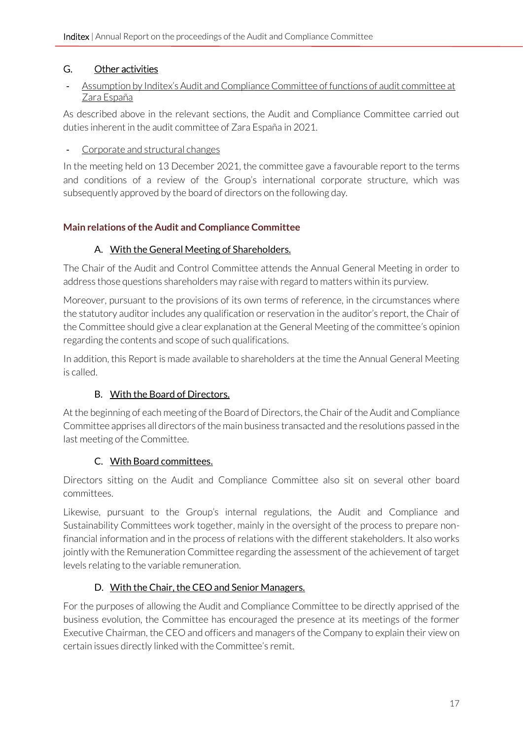## <span id="page-16-0"></span>G. Other activities

#### - Assumption by Inditex's Audit and Compliance Committee of functions of audit committee at Zara España

As described above in the relevant sections, the Audit and Compliance Committee carried out duties inherent in the audit committee of Zara España in 2021.

#### - Corporate and structural changes

In the meeting held on 13 December 2021, the committee gave a favourable report to the terms and conditions of a review of the Group's international corporate structure, which was subsequently approved by the board of directors on the following day.

## <span id="page-16-2"></span><span id="page-16-1"></span>**Main relations of the Audit and Compliance Committee**

## A. With the General Meeting of Shareholders.

The Chair of the Audit and Control Committee attends the Annual General Meeting in order to address those questions shareholders may raise with regard to matters within its purview.

Moreover, pursuant to the provisions of its own terms of reference, in the circumstances where the statutory auditor includes any qualification or reservation in the auditor's report, the Chair of the Committee should give a clear explanation at the General Meeting of the committee's opinion regarding the contents and scope of such qualifications.

In addition, this Report is made available to shareholders at the time the Annual General Meeting is called.

## B. With the Board of Directors.

<span id="page-16-3"></span>At the beginning of each meeting of the Board of Directors, the Chair of the Audit and Compliance Committee apprises all directors of the main business transacted and the resolutions passed in the last meeting of the Committee.

## C. With Board committees.

<span id="page-16-4"></span>Directors sitting on the Audit and Compliance Committee also sit on several other board committees.

Likewise, pursuant to the Group's internal regulations, the Audit and Compliance and Sustainability Committees work together, mainly in the oversight of the process to prepare nonfinancial information and in the process of relations with the different stakeholders. It also works jointly with the Remuneration Committee regarding the assessment of the achievement of target levels relating to the variable remuneration.

# D. With the Chair, the CEO and Senior Managers.

<span id="page-16-5"></span>For the purposes of allowing the Audit and Compliance Committee to be directly apprised of the business evolution, the Committee has encouraged the presence at its meetings of the former Executive Chairman, the CEO and officers and managers of the Company to explain their view on certain issues directly linked with the Committee's remit.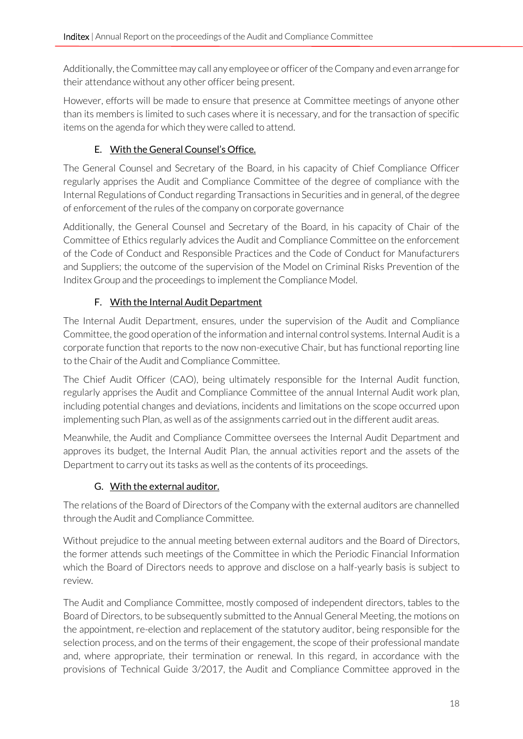Additionally, the Committee may call any employee or officer of the Company and even arrange for their attendance without any other officer being present.

However, efforts will be made to ensure that presence at Committee meetings of anyone other than its members is limited to such cases where it is necessary, and for the transaction of specific items on the agenda for which they were called to attend.

# E. With the General Counsel's Office.

<span id="page-17-0"></span>The General Counsel and Secretary of the Board, in his capacity of Chief Compliance Officer regularly apprises the Audit and Compliance Committee of the degree of compliance with the Internal Regulations of Conduct regarding Transactions in Securities and in general, of the degree of enforcement of the rules of the company on corporate governance

Additionally, the General Counsel and Secretary of the Board, in his capacity of Chair of the Committee of Ethics regularly advices the Audit and Compliance Committee on the enforcement of the Code of Conduct and Responsible Practices and the Code of Conduct for Manufacturers and Suppliers; the outcome of the supervision of the Model on Criminal Risks Prevention of the Inditex Group and the proceedings to implement the Compliance Model.

# F. With the Internal Audit Department

<span id="page-17-1"></span>The Internal Audit Department, ensures, under the supervision of the Audit and Compliance Committee, the good operation of the information and internal control systems. Internal Audit is a corporate function that reports to the now non-executive Chair, but has functional reporting line to the Chair of the Audit and Compliance Committee.

The Chief Audit Officer (CAO), being ultimately responsible for the Internal Audit function, regularly apprises the Audit and Compliance Committee of the annual Internal Audit work plan, including potential changes and deviations, incidents and limitations on the scope occurred upon implementing such Plan, as well as of the assignments carried out in the different audit areas.

Meanwhile, the Audit and Compliance Committee oversees the Internal Audit Department and approves its budget, the Internal Audit Plan, the annual activities report and the assets of the Department to carry out its tasks as well as the contents of its proceedings.

# G. With the external auditor.

<span id="page-17-2"></span>The relations of the Board of Directors of the Company with the external auditors are channelled through the Audit and Compliance Committee.

Without prejudice to the annual meeting between external auditors and the Board of Directors, the former attends such meetings of the Committee in which the Periodic Financial Information which the Board of Directors needs to approve and disclose on a half-yearly basis is subject to review.

The Audit and Compliance Committee, mostly composed of independent directors, tables to the Board of Directors, to be subsequently submitted to the Annual General Meeting, the motions on the appointment, re-election and replacement of the statutory auditor, being responsible for the selection process, and on the terms of their engagement, the scope of their professional mandate and, where appropriate, their termination or renewal. In this regard, in accordance with the provisions of Technical Guide 3/2017, the Audit and Compliance Committee approved in the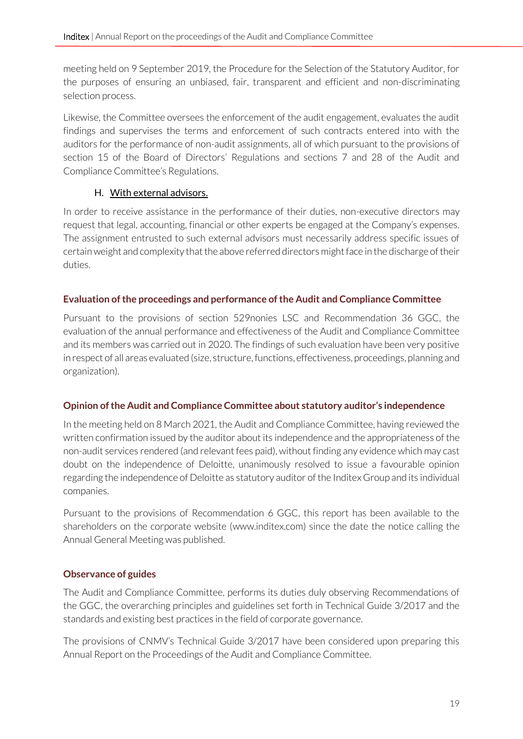meeting held on 9 September 2019, the Procedure for the Selection of the Statutory Auditor, for the purposes of ensuring an unbiased, fair, transparent and efficient and non-discriminating selection process.

Likewise, the Committee oversees the enforcement of the audit engagement, evaluates the audit findings and supervises the terms and enforcement of such contracts entered into with the auditors for the performance of non-audit assignments, all of which pursuant to the provisions of section 15 of the Board of Directors' Regulations and sections 7 and 28 of the Audit and Compliance Committee's Regulations.

## H. With external advisors.

<span id="page-18-0"></span>In order to receive assistance in the performance of their duties, non-executive directors may request that legal, accounting, financial or other experts be engaged at the Company's expenses. The assignment entrusted to such external advisors must necessarily address specific issues of certain weight and complexity that the above referred directors might face in the discharge of their duties.

## <span id="page-18-1"></span>**Evaluation of the proceedings and performance of the Audit and Compliance Committee**

Pursuant to the provisions of section 529nonies LSC and Recommendation 36 GGC, the evaluation of the annual performance and effectiveness of the Audit and Compliance Committee and its members was carried out in 2020. The findings of such evaluation have been very positive in respect of all areas evaluated (size, structure, functions, effectiveness, proceedings, planning and organization).

## <span id="page-18-2"></span>**Opinion of the Audit and Compliance Committee about statutory auditor's independence**

In the meeting held on 8 March 2021, the Audit and Compliance Committee, having reviewed the written confirmation issued by the auditor about its independence and the appropriateness of the non-audit services rendered (and relevant fees paid), without finding any evidence which may cast doubt on the independence of Deloitte, unanimously resolved to issue a favourable opinion regarding the independence of Deloitte as statutory auditor of the Inditex Group and its individual companies.

Pursuant to the provisions of Recommendation 6 GGC, this report has been available to the shareholders on the corporate website [\(www.inditex.com\)](http://www.inditex.com/) since the date the notice calling the Annual General Meeting was published.

## <span id="page-18-3"></span>**Observance of guides**

The Audit and Compliance Committee, performs its duties duly observing Recommendations of the GGC, the overarching principles and guidelines set forth in Technical Guide 3/2017 and the standards and existing best practices in the field of corporate governance.

The provisions of CNMV's Technical Guide 3/2017 have been considered upon preparing this Annual Report on the Proceedings of the Audit and Compliance Committee.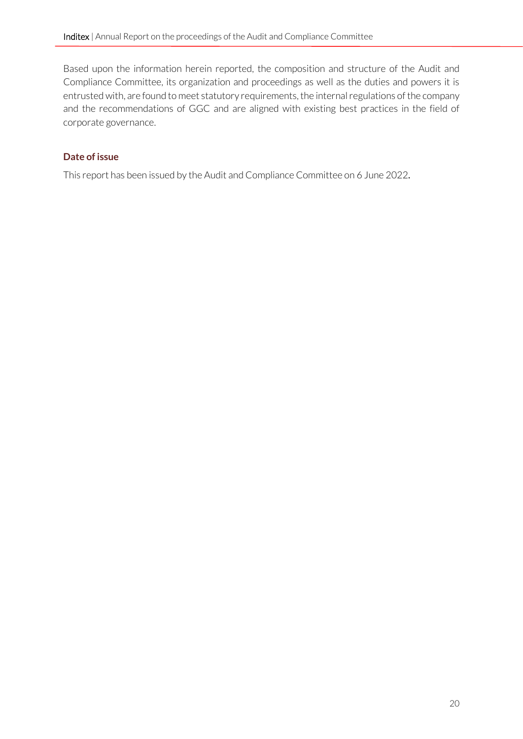Based upon the information herein reported, the composition and structure of the Audit and Compliance Committee, its organization and proceedings as well as the duties and powers it is entrusted with, are found to meet statutory requirements, the internal regulations of the company and the recommendations of GGC and are aligned with existing best practices in the field of corporate governance.

## <span id="page-19-0"></span>**Date of issue**

This report has been issued by the Audit and Compliance Committee on 6 June 2022.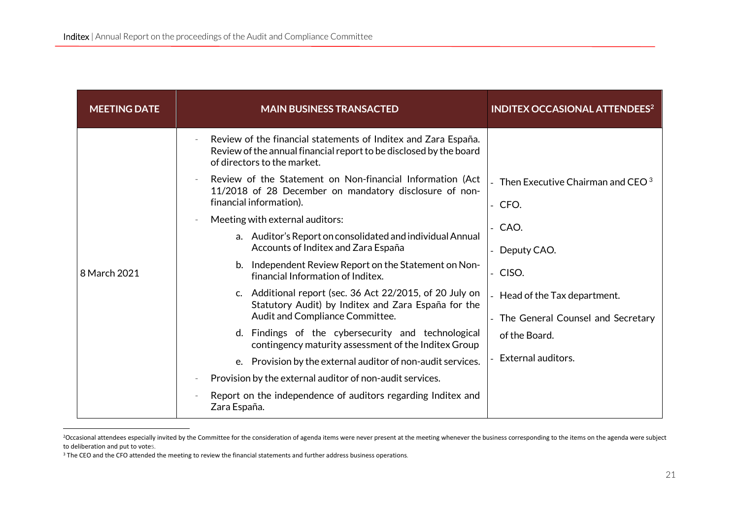| <b>MEETING DATE</b> | <b>MAIN BUSINESS TRANSACTED</b>                                                                                                                                     | <b>INDITEX OCCASIONAL ATTENDEES<sup>2</sup></b>  |
|---------------------|---------------------------------------------------------------------------------------------------------------------------------------------------------------------|--------------------------------------------------|
|                     | Review of the financial statements of Inditex and Zara España.<br>Review of the annual financial report to be disclosed by the board<br>of directors to the market. |                                                  |
|                     | Review of the Statement on Non-financial Information (Act<br>11/2018 of 28 December on mandatory disclosure of non-<br>financial information).                      | - Then Executive Chairman and CEO $^3$<br>- CFO. |
|                     | Meeting with external auditors:<br>$\overline{\phantom{a}}$                                                                                                         | - CAO.                                           |
|                     | a. Auditor's Report on consolidated and individual Annual<br>Accounts of Inditex and Zara España                                                                    | Deputy CAO.                                      |
| 8 March 2021        | b. Independent Review Report on the Statement on Non-<br>financial Information of Inditex.                                                                          | - CISO.                                          |
|                     | c. Additional report (sec. 36 Act 22/2015, of 20 July on<br>Statutory Audit) by Inditex and Zara España for the                                                     | Head of the Tax department.                      |
|                     | Audit and Compliance Committee.                                                                                                                                     | The General Counsel and Secretary                |
|                     | d. Findings of the cybersecurity and technological<br>contingency maturity assessment of the Inditex Group                                                          | of the Board.                                    |
|                     | e. Provision by the external auditor of non-audit services.                                                                                                         | External auditors.                               |
|                     | Provision by the external auditor of non-audit services.                                                                                                            |                                                  |
|                     | Report on the independence of auditors regarding Inditex and<br>Zara España.                                                                                        |                                                  |

<sup>&</sup>lt;sup>2</sup>Occasional attendees especially invited by the Committee for the consideration of agenda items were never present at the meeting whenever the business corresponding to the items on the agenda were subject to deliberation and put to votes.

<sup>&</sup>lt;sup>3</sup> The CEO and the CFO attended the meeting to review the financial statements and further address business operations.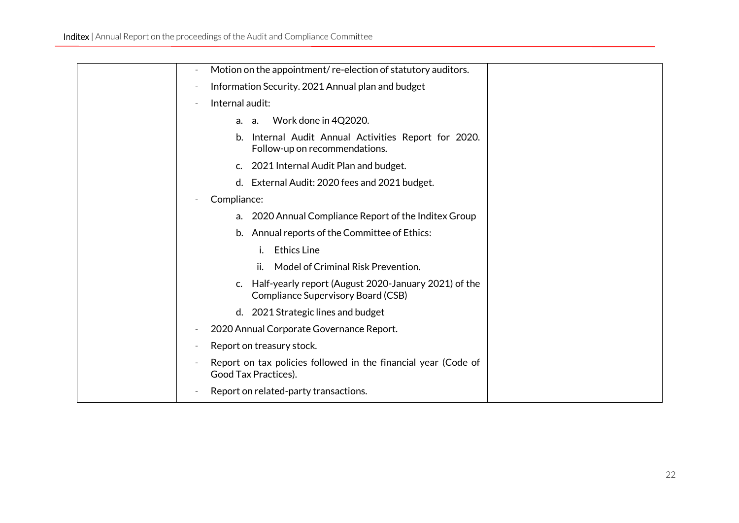| Motion on the appointment/re-election of statutory auditors.                                  |
|-----------------------------------------------------------------------------------------------|
| Information Security. 2021 Annual plan and budget                                             |
| Internal audit:                                                                               |
| Work done in 4Q2020.<br>a.<br>а.                                                              |
| b. Internal Audit Annual Activities Report for 2020.<br>Follow-up on recommendations.         |
| c. 2021 Internal Audit Plan and budget.                                                       |
| d. External Audit: 2020 fees and 2021 budget.                                                 |
| Compliance:                                                                                   |
| a. 2020 Annual Compliance Report of the Inditex Group                                         |
| b. Annual reports of the Committee of Ethics:                                                 |
| <b>Ethics Line</b><br>i.                                                                      |
| Model of Criminal Risk Prevention.<br>ii.                                                     |
| c. Half-yearly report (August 2020-January 2021) of the<br>Compliance Supervisory Board (CSB) |
| d. 2021 Strategic lines and budget                                                            |
| 2020 Annual Corporate Governance Report.                                                      |
| Report on treasury stock.                                                                     |
| Report on tax policies followed in the financial year (Code of<br>Good Tax Practices).        |
| Report on related-party transactions.                                                         |
|                                                                                               |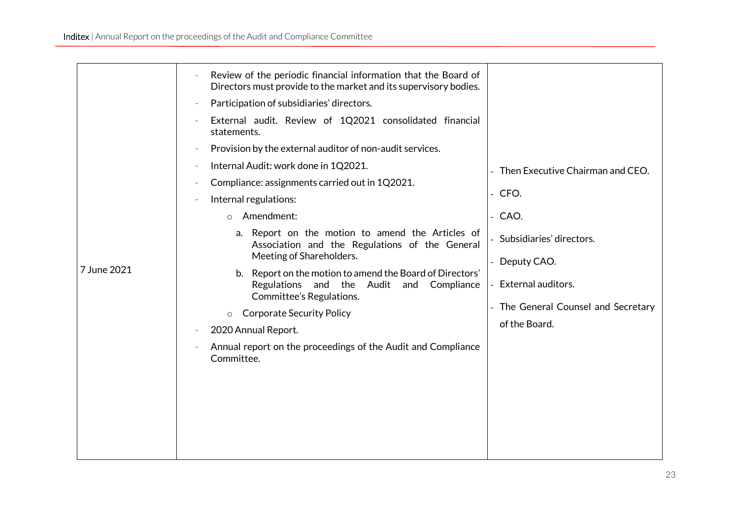|             | Review of the periodic financial information that the Board of<br>Directors must provide to the market and its supervisory bodies.<br>Participation of subsidiaries' directors.<br>$\equiv$<br>External audit. Review of 1Q2021 consolidated financial<br>$\equiv$<br>statements.<br>Provision by the external auditor of non-audit services.<br>Internal Audit: work done in 1Q2021.<br>Compliance: assignments carried out in 1Q2021.<br>$\overline{\phantom{a}}$<br>Internal regulations:<br>Amendment:<br>$\circ$<br>a. Report on the motion to amend the Articles of<br>Association and the Regulations of the General | - Then Executive Chairman and CEO.<br>$-CFO.$<br>- CAO.<br>- Subsidiaries' directors.   |
|-------------|-----------------------------------------------------------------------------------------------------------------------------------------------------------------------------------------------------------------------------------------------------------------------------------------------------------------------------------------------------------------------------------------------------------------------------------------------------------------------------------------------------------------------------------------------------------------------------------------------------------------------------|-----------------------------------------------------------------------------------------|
| 7 June 2021 | Meeting of Shareholders.<br>b. Report on the motion to amend the Board of Directors'<br>Regulations<br>and the<br>Audit and<br>Compliance<br>Committee's Regulations.<br><b>Corporate Security Policy</b><br>$\circ$<br>2020 Annual Report.<br>$\overline{\phantom{a}}$<br>Annual report on the proceedings of the Audit and Compliance<br>Committee.                                                                                                                                                                                                                                                                       | Deputy CAO.<br>External auditors.<br>The General Counsel and Secretary<br>of the Board. |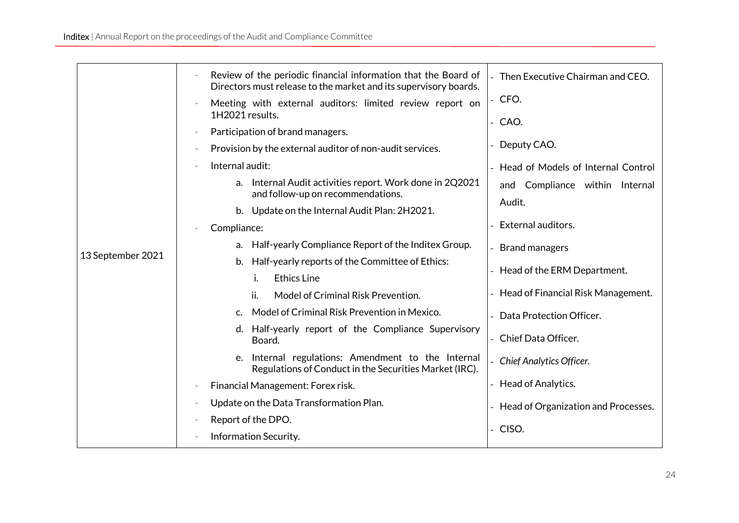|                   | Review of the periodic financial information that the Board of<br>Directors must release to the market and its supervisory boards. | - Then Executive Chairman and CEO.    |
|-------------------|------------------------------------------------------------------------------------------------------------------------------------|---------------------------------------|
|                   | Meeting with external auditors: limited review report on<br>1H2021 results.                                                        | $-$ CFO.                              |
|                   | Participation of brand managers.                                                                                                   | - CAO.                                |
|                   | Provision by the external auditor of non-audit services.<br>$\overline{\phantom{a}}$                                               | Deputy CAO.                           |
|                   | Internal audit:                                                                                                                    | Head of Models of Internal Control    |
|                   | Internal Audit activities report. Work done in 2Q2021<br>a.<br>and follow-up on recommendations.                                   | and Compliance within Internal        |
|                   | b. Update on the Internal Audit Plan: 2H2021.                                                                                      | Audit.                                |
|                   | Compliance:                                                                                                                        | External auditors.                    |
|                   | Half-yearly Compliance Report of the Inditex Group.<br>a.                                                                          | - Brand managers                      |
| 13 September 2021 | Half-yearly reports of the Committee of Ethics:<br>b.                                                                              | - Head of the ERM Department.         |
|                   | <b>Ethics Line</b><br>i.                                                                                                           |                                       |
|                   | ii.<br>Model of Criminal Risk Prevention.                                                                                          | - Head of Financial Risk Management.  |
|                   | Model of Criminal Risk Prevention in Mexico.<br>C.                                                                                 | Data Protection Officer.              |
|                   | d. Half-yearly report of the Compliance Supervisory<br>Board.                                                                      | Chief Data Officer.                   |
|                   | Internal regulations: Amendment to the Internal<br>e.<br>Regulations of Conduct in the Securities Market (IRC).                    | Chief Analytics Officer.              |
|                   | Financial Management: Forex risk.<br>$\overline{\phantom{a}}$                                                                      | - Head of Analytics.                  |
|                   | Update on the Data Transformation Plan.<br>$\overline{\phantom{a}}$                                                                | - Head of Organization and Processes. |
|                   | Report of the DPO.                                                                                                                 |                                       |
|                   | Information Security.                                                                                                              | - CISO.                               |